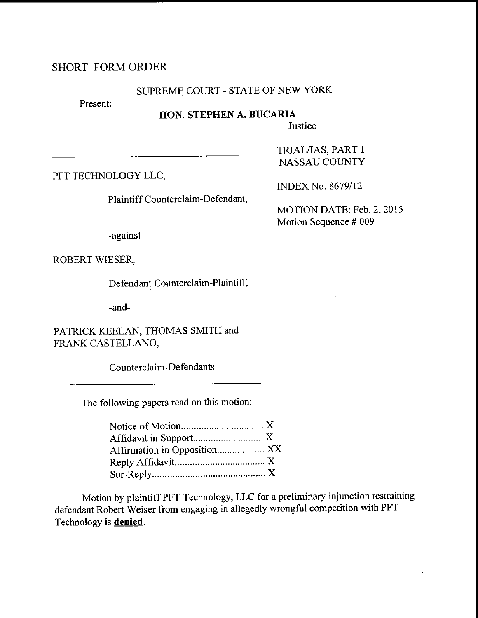### SHORT FORMORDER

#### SUPREME COURT - STATE OF NEW YORK

Present:

### HON. STEPHEN A. BUCARIA

**Justice** 

PFT TECHNOLOGY LLC,

Plaintiff Counterclaim-Defendant,

INDEX No. 8679/12

TRIAL/IAS, PART <sup>1</sup> NASSAU COUNTY

MOTION DATE: Feb. 2, 2015 Motion Sequence # 009

-against-

ROBERT WIESER,

Defendant Counterclaim-Plaintiff,

-and-

PATRICK KEELAN, THOMAS SMITH and FRANK CASTELLANO,

Counterclaim-Defendants.

The following papers read on this motion:

| Affirmation in Opposition XX |  |
|------------------------------|--|
|                              |  |
|                              |  |

Motion by plaintiff PFT Technology, LLC for a preliminary injunction restraining defendant Robert Weiser from engaging in allegedly wrongful competition with PFT Technology is **denied**.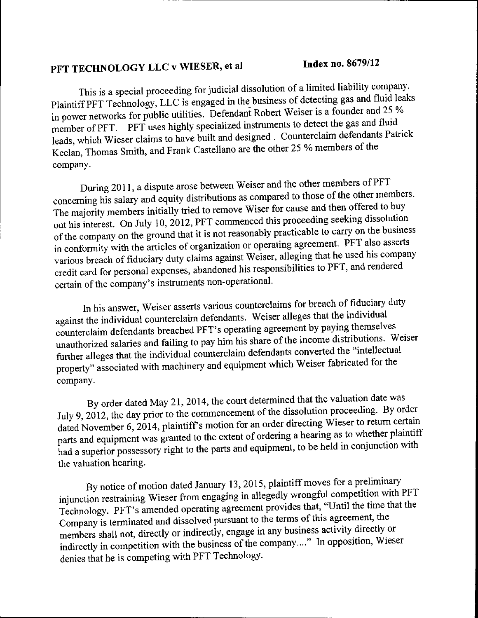# PFT TECHNOLOGY LLC v WIESER, et al lndex no. 8679/12

This is a special proceeding for judicial dissolution of a limited liability company. Plaintiff PFT Technology, LLC is engaged in the business of detecting gas and fluid leaks in power networks for public utilities. Defendant Robert Weiser is a founder and 25 % member of PFT. PFT uses highly specialized instruments to detect the gas and fluid leads, which Wieser claims to have built and designed . Counterclaim defendants Patrick Keelan, Thomas Smith, and Frank Castellano are the other 25 % members of the company.

During 2011, a dispute arose between Weiser and the other members of PFT concerning his salary and equity distributions as compared to those of the other members. The majority members initially tried to remove Wiser for cause and then offered to buy out his interest. On July 10, 2012, PFT commenced this proceeding seeking dissolution of the company on the ground that it is not reasonably practicable to carry on the business in conformity with the articles of organization or operating agreement. PFT also asserts warious breach of fiduciary duty claims against Weiser, alleging that he used his company exponsibilities to PFT, and rendered credit card for personal expenses, abandoned his responsibilities to PFT, and rendered certain of the company's instruments non-operational.

In his answer, Weiser asserts various counterclaims for breach of fiduciary duty against the individual counterclaim defendants. Weiser alleges that the individual counterclaim defendants breached PFT's operating agreement by paying themselves unauthorized salaries and failing to pay him his share of the income distributions. Weiser further alleges that the individual counterclaim defendants converted the "intellectual property" associated with machinery and equipment which Weiser fabricated for the company.

By order dated May 21, 2014, the court determined that the valuation date was July 9, 2012, the day prior to the commencement of the dissolution proceeding. By order dated November 6, 2014, plaintiff's motion for an order directing Wieser to return certain parts and equipment was granted to the extent of ordering a hearing as to whether plaintiff had a superior possessory right to the parts and equipment, to be held in conjunction with the valuation hearing.

By notice of motion dated January 13, 2015, plaintiff moves for a preliminary injunction restraining Wieser from engaging in allegedly wrongful competition with PFT Technology. PFT's amended operating agreement provides that, "Until the time that the Company is terminated and dissolved pursuant to the terms of this agreement, the members shall not, directly or indirectly, engage in any business activity directly or indirectly in competition with the business of the company...." In opposition, Wieser denies that he is competing with PFT Technology.